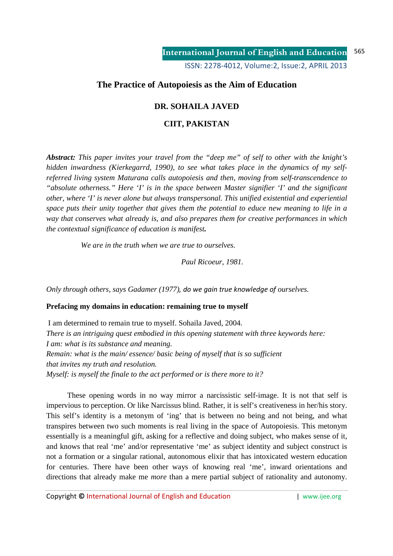# **The Practice of Autopoiesis as the Aim of Education**

# **DR. SOHAILA JAVED**

# **CIIT, PAKISTAN**

*Abstract: This paper invites your travel from the "deep me" of self to other with the knight's hidden inwardness (Kierkegarrd, 1990), to see what takes place in the dynamics of my selfreferred living system Maturana calls autopoiesis and then, moving from self-transcendence to "absolute otherness." Here 'I' is in the space between Master signifier 'I' and the significant other, where 'I' is never alone but always transpersonal. This unified existential and experiential space puts their unity together that gives them the potential to educe new meaning to life in a way that conserves what already is, and also prepares them for creative performances in which the contextual significance of education is manifest.* 

 *We are in the truth when we are true to ourselves.* 

 *Paul Ricoeur, 1981.* 

*Only through others, says Gadamer (1977), do we gain true knowledge of ourselves.*

### **Prefacing my domains in education: remaining true to myself**

 I am determined to remain true to myself. Sohaila Javed, 2004. *There is an intriguing quest embodied in this opening statement with three keywords here: I am: what is its substance and meaning. Remain: what is the main/ essence/ basic being of myself that is so sufficient that invites my truth and resolution. Myself: is myself the finale to the act performed or is there more to it?*

 These opening words in no way mirror a narcissistic self-image. It is not that self is impervious to perception. Or like Narcissus blind. Rather, it is self's creativeness in her/his story. This self's identity is a metonym of 'ing' that is between no being and not being, and what transpires between two such moments is real living in the space of Autopoiesis. This metonym essentially is a meaningful gift, asking for a reflective and doing subject, who makes sense of it, and knows that real 'me' and/or representative 'me' as subject identity and subject construct is not a formation or a singular rational, autonomous elixir that has intoxicated western education for centuries. There have been other ways of knowing real 'me', inward orientations and directions that already make me *more* than a mere partial subject of rationality and autonomy.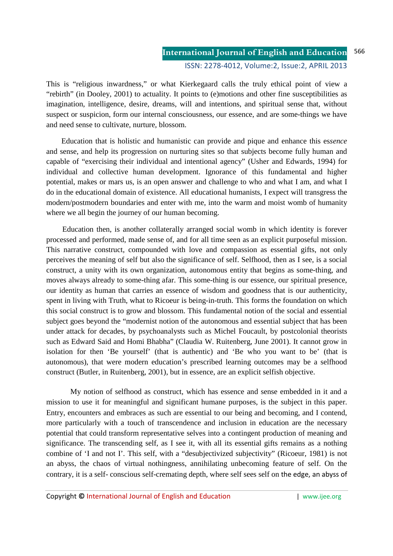This is "religious inwardness," or what Kierkegaard calls the truly ethical point of view a "rebirth" (in Dooley, 2001) to actuality. It points to (e)motions and other fine susceptibilities as imagination, intelligence, desire, dreams, will and intentions, and spiritual sense that, without suspect or suspicion, form our internal consciousness, our essence, and are some-things we have and need sense to cultivate, nurture, blossom.

 Education that is holistic and humanistic can provide and pique and enhance this es*sence* and sense, and help its progression on nurturing sites so that subjects become fully human and capable of "exercising their individual and intentional agency" (Usher and Edwards, 1994) for individual and collective human development. Ignorance of this fundamental and higher potential, makes or mars us, is an open answer and challenge to who and what I am, and what I do in the educational domain of existence. All educational humanists, I expect will transgress the modern/postmodern boundaries and enter with me, into the warm and moist womb of humanity where we all begin the journey of our human becoming.

 Education then, is another collaterally arranged social womb in which identity is forever processed and performed, made sense of, and for all time seen as an explicit purposeful mission. This narrative construct, compounded with love and compassion as essential gifts, not only perceives the meaning of self but also the significance of self. Selfhood, then as I see, is a social construct, a unity with its own organization, autonomous entity that begins as some-thing, and moves always already to some-thing afar. This some-thing is our essence, our spiritual presence, our identity as human that carries an essence of wisdom and goodness that is our authenticity, spent in living with Truth, what to Ricoeur is being-in-truth. This forms the foundation on which this social construct is to grow and blossom. This fundamental notion of the social and essential subject goes beyond the "modernist notion of the autonomous and essential subject that has been under attack for decades, by psychoanalysts such as Michel Foucault, by postcolonial theorists such as Edward Said and Homi Bhabha" (Claudia W. Ruitenberg, June 2001). It cannot grow in isolation for then 'Be yourself' (that is authentic) and 'Be who you want to be' (that is autonomous), that were modern education's prescribed learning outcomes may be a selfhood construct (Butler, in Ruitenberg, 2001), but in essence, are an explicit selfish objective.

 My notion of selfhood as construct, which has essence and sense embedded in it and a mission to use it for meaningful and significant humane purposes, is the subject in this paper. Entry, encounters and embraces as such are essential to our being and becoming, and I contend, more particularly with a touch of transcendence and inclusion in education are the necessary potential that could transform representative selves into a contingent production of meaning and significance. The transcending self, as I see it, with all its essential gifts remains as a nothing combine of 'I and not I'. This self, with a "desubjectivized subjectivity" (Ricoeur, 1981) is not an abyss, the chaos of virtual nothingness, annihilating unbecoming feature of self. On the contrary, it is a self- conscious self-cremating depth, where self sees self on the edge, an abyss of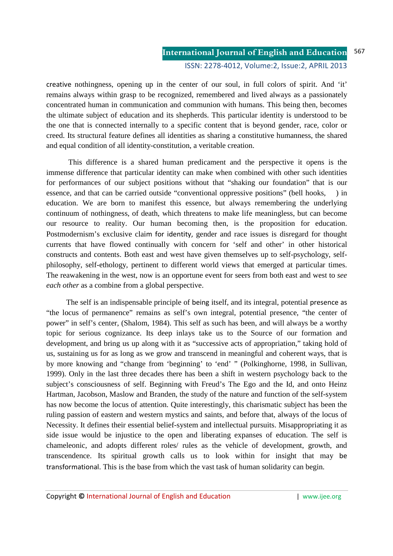creative nothingness, opening up in the center of our soul, in full colors of spirit. And 'it' remains always within grasp to be recognized, remembered and lived always as a passionately concentrated human in communication and communion with humans. This being then, becomes the ultimate subject of education and its shepherds. This particular identity is understood to be the one that is connected internally to a specific content that is beyond gender, race, color or creed. Its structural feature defines all identities as sharing a constitutive humanness, the shared and equal condition of all identity-constitution, a veritable creation.

 This difference is a shared human predicament and the perspective it opens is the immense difference that particular identity can make when combined with other such identities for performances of our subject positions without that "shaking our foundation" that is our essence, and that can be carried outside "conventional oppressive positions" (bell hooks, ) in education. We are born to manifest this essence, but always remembering the underlying continuum of nothingness, of death, which threatens to make life meaningless, but can become our resource to reality. Our human becoming then, is the proposition for education. Postmodernism's exclusive claim for identity, gender and race issues is disregard for thought currents that have flowed continually with concern for 'self and other' in other historical constructs and contents. Both east and west have given themselves up to self-psychology, selfphilosophy, self-ethology, pertinent to different world views that emerged at particular times. The reawakening in the west, now is an opportune event for seers from both east and west to *see each other* as a combine from a global perspective.

 The self is an indispensable principle of being itself, and its integral, potential presence as "the locus of permanence" remains as self's own integral, potential presence, "the center of power" in self's center, (Shalom, 1984). This self as such has been, and will always be a worthy topic for serious cognizance. Its deep inlays take us to the Source of our formation and development, and bring us up along with it as "successive acts of appropriation," taking hold of us, sustaining us for as long as we grow and transcend in meaningful and coherent ways, that is by more knowing and "change from 'beginning' to 'end' " (Polkinghorne, 1998, in Sullivan, 1999). Only in the last three decades there has been a shift in western psychology back to the subject's consciousness of self. Beginning with Freud's The Ego and the Id, and onto Heinz Hartman, Jacobson, Maslow and Branden, the study of the nature and function of the self-system has now become the locus of attention. Quite interestingly, this charismatic subject has been the ruling passion of eastern and western mystics and saints, and before that, always of the locus of Necessity. It defines their essential belief-system and intellectual pursuits. Misappropriating it as side issue would be injustice to the open and liberating expanses of education. The self is chameleonic, and adopts different roles/ rules as the vehicle of development, growth, and transcendence. Its spiritual growth calls us to look within for insight that may be transformational. This is the base from which the vast task of human solidarity can begin.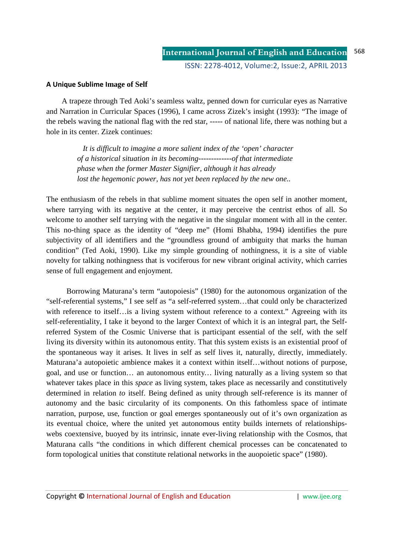### **A Unique Sublime Image of Self**

 A trapeze through Ted Aoki's seamless waltz, penned down for curricular eyes as Narrative and Narration in Curricular Spaces (1996), I came across Zizek's insight (1993): "The image of the rebels waving the national flag with the red star, ----- of national life, there was nothing but a hole in its center. Zizek continues:

> *It is difficult to imagine a more salient index of the 'open' character of a historical situation in its becoming-------------of that intermediate phase when the former Master Signifier, although it has already lost the hegemonic power, has not yet been replaced by the new one..*

The enthusiasm of the rebels in that sublime moment situates the open self in another moment, where tarrying with its negative at the center, it may perceive the centrist ethos of all. So welcome to another self tarrying with the negative in the singular moment with all in the center. This no-thing space as the identity of "deep me" (Homi Bhabha, 1994) identifies the pure subjectivity of all identifiers and the "groundless ground of ambiguity that marks the human condition" (Ted Aoki, 1990). Like my simple grounding of nothingness, it is a site of viable novelty for talking nothingness that is vociferous for new vibrant original activity, which carries sense of full engagement and enjoyment.

 Borrowing Maturana's term "autopoiesis" (1980) for the autonomous organization of the "self-referential systems," I see self as "a self-referred system…that could only be characterized with reference to itself…is a living system without reference to a context." Agreeing with its self-referentiality, I take it beyond to the larger Context of which it is an integral part, the Selfreferred System of the Cosmic Universe that is participant essential of the self, with the self living its diversity within its autonomous entity. That this system exists is an existential proof of the spontaneous way it arises. It lives in self as self lives it, naturally, directly, immediately. Maturana'a autopoietic ambience makes it a context within itself…without notions of purpose, goal, and use or function… an autonomous entity*…* living naturally as a living system so that whatever takes place in this *space* as living system, takes place as necessarily and constitutively determined in relation *to* itself. Being defined as unity through self-reference is its manner of autonomy and the basic circularity of its components. On this fathomless space of intimate narration, purpose, use, function or goal emerges spontaneously out of it's own organization as its eventual choice, where the united yet autonomous entity builds internets of relationshipswebs coextensive, buoyed by its intrinsic, innate ever-living relationship with the Cosmos, that Maturana calls "the conditions in which different chemical processes can be concatenated to form topological unities that constitute relational networks in the auopoietic space" (1980).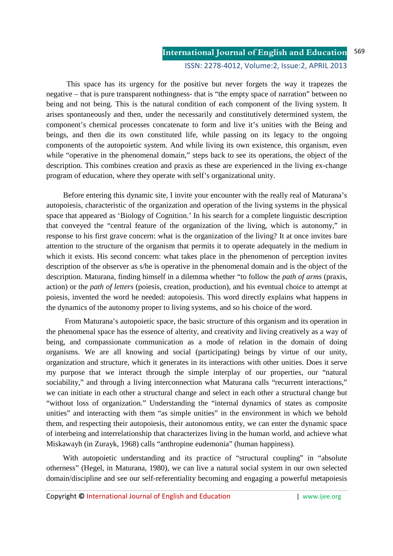This space has its urgency for the positive but never forgets the way it trapezes the negative – that is pure transparent nothingness- that is "the empty space of narration" between no being and not being. This is the natural condition of each component of the living system. It arises spontaneously and then, under the necessarily and constitutively determined system, the component's chemical processes concatenate to form and live it's unities with the Being and beings, and then die its own constituted life, while passing on its legacy to the ongoing components of the autopoietic system. And while living its own existence, this organism, even while "operative in the phenomenal domain," steps back to see its operations, the object of the description. This combines creation and praxis as these are experienced in the living ex-change program of education, where they operate with self's organizational unity.

 Before entering this dynamic site, I invite your encounter with the really real of Maturana's autopoiesis, characteristic of the organization and operation of the living systems in the physical space that appeared as 'Biology of Cognition.' In his search for a complete linguistic description that conveyed the "central feature of the organization of the living, which is autonomy," in response to his first grave concern: what is the organization of the living? It at once invites bare attention to the structure of the organism that permits it to operate adequately in the medium in which it exists. His second concern: what takes place in the phenomenon of perception invites description of the observer as s/he is operative in the phenomenal domain and is the object of the description. Maturana, finding himself in a dilemma whether "to follow the *path of arms* (praxis, action) or the *path of letters* (poiesis, creation, production), and his eventual choice to attempt at poiesis, invented the word he needed: autopoiesis. This word directly explains what happens in the dynamics of the autonomy proper to living systems, and so his choice of the word.

 From Maturana's autopoietic space, the basic structure of this organism and its operation in the phenomenal space has the essence of alterity, and creativity and living creatively as a way of being, and compassionate communication as a mode of relation in the domain of doing organisms. We are all knowing and social (participating) beings by virtue of our unity, organization and structure, which it generates in its interactions with other unities. Does it serve my purpose that we interact through the simple interplay of our properties, our "natural sociability," and through a living interconnection what Maturana calls "recurrent interactions," we can initiate in each other a structural change and select in each other a structural change but "without loss of organization." Understanding the "internal dynamics of states as composite unities" and interacting with them "as simple unities" in the environment in which we behold them, and respecting their autopoiesis, their autonomous entity, we can enter the dynamic space of interbeing and interrelationship that characterizes living in the human world, and achieve what Miskawayh (in Zurayk, 1968) calls "anthropine eudemonia" (human happiness).

With autopoietic understanding and its practice of "structural coupling" in "absolute otherness" (Hegel, in Maturana, 1980), we can live a natural social system in our own selected domain/discipline and see our self-referentiality becoming and engaging a powerful metapoiesis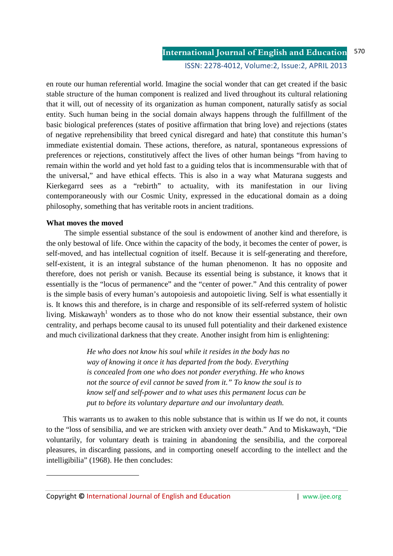en route our human referential world. Imagine the social wonder that can get created if the basic stable structure of the human component is realized and lived throughout its cultural relationing that it will, out of necessity of its organization as human component, naturally satisfy as social entity. Such human being in the social domain always happens through the fulfillment of the basic biological preferences (states of positive affirmation that bring love) and rejections (states of negative reprehensibility that breed cynical disregard and hate) that constitute this human's immediate existential domain. These actions, therefore, as natural, spontaneous expressions of preferences or rejections, constitutively affect the lives of other human beings "from having to remain within the world and yet hold fast to a guiding telos that is incommensurable with that of the universal," and have ethical effects. This is also in a way what Maturana suggests and Kierkegarrd sees as a "rebirth" to actuality, with its manifestation in our living contemporaneously with our Cosmic Unity, expressed in the educational domain as a doing philosophy, something that has veritable roots in ancient traditions.

### **What moves the moved**

.<br>-

 The simple essential substance of the soul is endowment of another kind and therefore, is the only bestowal of life. Once within the capacity of the body, it becomes the center of power, is self-moved, and has intellectual cognition of itself. Because it is self-generating and therefore, self-existent, it is an integral substance of the human phenomenon. It has no opposite and therefore, does not perish or vanish. Because its essential being is substance, it knows that it essentially is the "locus of permanence" and the "center of power." And this centrality of power is the simple basis of every human's autopoiesis and autopoietic living. Self is what essentially it is. It knows this and therefore, is in charge and responsible of its self-referred system of holistic living. Miskawayh<sup>1</sup> wonders as to those who do not know their essential substance, their own centrality, and perhaps become causal to its unused full potentiality and their darkened existence and much civilizational darkness that they create. Another insight from him is enlightening:

> *He who does not know his soul while it resides in the body has no way of knowing it once it has departed from the body. Everything is concealed from one who does not ponder everything. He who knows not the source of evil cannot be saved from it." To know the soul is to know self and self-power and to what uses this permanent locus can be put to before its voluntary departure and our involuntary death.*

 This warrants us to awaken to this noble substance that is within us If we do not, it counts to the "loss of sensibilia, and we are stricken with anxiety over death." And to Miskawayh, "Die voluntarily, for voluntary death is training in abandoning the sensibilia, and the corporeal pleasures, in discarding passions, and in comporting oneself according to the intellect and the intelligibilia" (1968). He then concludes:

Copyright © International Journal of English and Education | www.ijee.org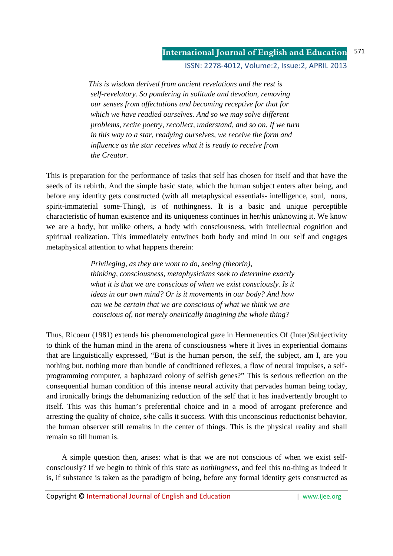#### **International Journal of English and Education** 571

ISSN: 2278-4012, Volume:2, Issue:2, APRIL 2013

 *This is wisdom derived from ancient revelations and the rest is self-revelatory. So pondering in solitude and devotion, removing our senses from affectations and becoming receptive for that for which we have readied ourselves. And so we may solve different problems, recite poetry, recollect, understand, and so on. If we turn in this way to a star, readying ourselves, we receive the form and influence as the star receives what it is ready to receive from the Creator.* 

This is preparation for the performance of tasks that self has chosen for itself and that have the seeds of its rebirth. And the simple basic state, which the human subject enters after being, and before any identity gets constructed (with all metaphysical essentials- intelligence, soul, nous, spirit-immaterial some-Thing), is of nothingness. It is a basic and unique perceptible characteristic of human existence and its uniqueness continues in her/his unknowing it. We know we are a body, but unlike others, a body with consciousness, with intellectual cognition and spiritual realization. This immediately entwines both body and mind in our self and engages metaphysical attention to what happens therein:

> *Privileging, as they are wont to do, seeing (theorin), thinking, consciousness, metaphysicians seek to determine exactly what it is that we are conscious of when we exist consciously. Is it ideas in our own mind? Or is it movements in our body? And how can we be certain that we are conscious of what we think we are conscious of, not merely oneirically imagining the whole thing?*

Thus, Ricoeur (1981) extends his phenomenological gaze in Hermeneutics Of (Inter)Subjectivity to think of the human mind in the arena of consciousness where it lives in experiential domains that are linguistically expressed, "But is the human person, the self, the subject, am I, are you nothing but, nothing more than bundle of conditioned reflexes, a flow of neural impulses, a selfprogramming computer, a haphazard colony of selfish genes?" This is serious reflection on the consequential human condition of this intense neural activity that pervades human being today, and ironically brings the dehumanizing reduction of the self that it has inadvertently brought to itself. This was this human's preferential choice and in a mood of arrogant preference and arresting the quality of choice, s/he calls it success. With this unconscious reductionist behavior, the human observer still remains in the center of things. This is the physical reality and shall remain so till human is.

 A simple question then, arises: what is that we are not conscious of when we exist selfconsciously? If we begin to think of this state as *nothingness,* and feel this no-thing as indeed it is, if substance is taken as the paradigm of being, before any formal identity gets constructed as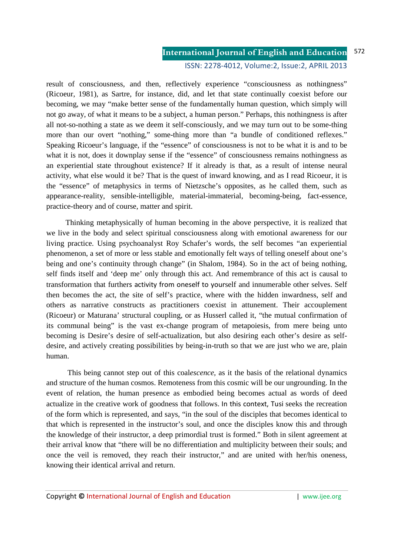result of consciousness, and then, reflectively experience "consciousness as nothingness" (Ricoeur, 1981), as Sartre, for instance, did, and let that state continually coexist before our becoming, we may "make better sense of the fundamentally human question, which simply will not go away, of what it means to be a subject, a human person." Perhaps, this nothingness is after all not-so-nothing a state as we deem it self-consciously, and we may turn out to be some-thing more than our overt "nothing," some-thing more than "a bundle of conditioned reflexes." Speaking Ricoeur's language, if the "essence" of consciousness is not to be what it is and to be what it is not, does it downplay sense if the "essence" of consciousness remains nothingness as an experiential state throughout existence? If it already is that, as a result of intense neural activity, what else would it be? That is the quest of inward knowing, and as I read Ricoeur, it is the "essence" of metaphysics in terms of Nietzsche's opposites, as he called them, such as appearance-reality, sensible-intelligible, material-immaterial, becoming-being, fact-essence, practice-theory and of course, matter and spirit.

 Thinking metaphysically of human becoming in the above perspective, it is realized that we live in the body and select spiritual consciousness along with emotional awareness for our living practice. Using psychoanalyst Roy Schafer's words, the self becomes "an experiential phenomenon, a set of more or less stable and emotionally felt ways of telling oneself about one's being and one's continuity through change" (in Shalom, 1984). So in the act of being nothing, self finds itself and 'deep me' only through this act. And remembrance of this act is causal to transformation that furthers activity from oneself to yourself and innumerable other selves. Self then becomes the act, the site of self's practice, where with the hidden inwardness, self and others as narrative constructs as practitioners coexist in attunement. Their accouplement (Ricoeur) or Maturana' structural coupling, or as Husserl called it, "the mutual confirmation of its communal being" is the vast ex-change program of metapoiesis, from mere being unto becoming is Desire's desire of self-actualization, but also desiring each other's desire as selfdesire, and actively creating possibilities by being-in-truth so that we are just who we are, plain human.

 This being cannot step out of this coal*escence,* as it the basis of the relational dynamics and structure of the human cosmos. Remoteness from this cosmic will be our ungrounding. In the event of relation, the human presence as embodied being becomes actual as words of deed actualize in the creative work of goodness that follows. In this context, Tusi seeks the recreation of the form which is represented, and says*,* "in the soul of the disciples that becomes identical to that which is represented in the instructor's soul, and once the disciples know this and through the knowledge of their instructor, a deep primordial trust is formed." Both in silent agreement at their arrival know that "there will be no differentiation and multiplicity between their souls; and once the veil is removed, they reach their instructor," and are united with her/his oneness, knowing their identical arrival and return.